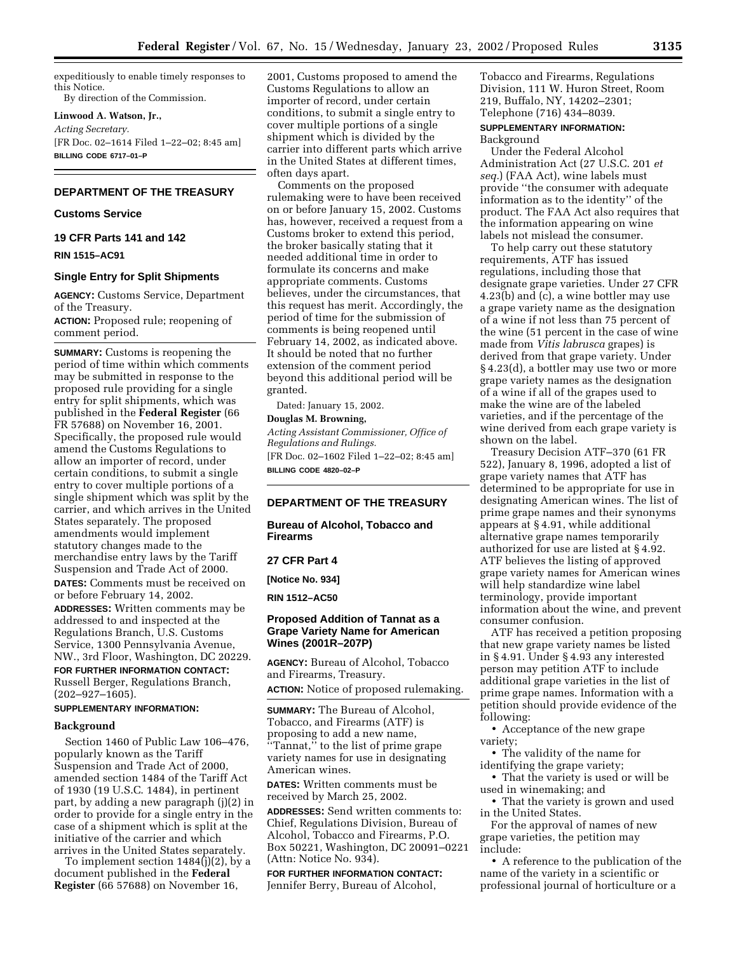expeditiously to enable timely responses to this Notice. By direction of the Commission.

**Linwood A. Watson, Jr.,**

*Acting Secretary.* [FR Doc. 02–1614 Filed 1–22–02; 8:45 am] **BILLING CODE 6717–01–P**

## **DEPARTMENT OF THE TREASURY**

#### **Customs Service**

# **19 CFR Parts 141 and 142**

**RIN 1515–AC91**

# **Single Entry for Split Shipments**

**AGENCY:** Customs Service, Department of the Treasury.

**ACTION:** Proposed rule; reopening of comment period.

**SUMMARY:** Customs is reopening the period of time within which comments may be submitted in response to the proposed rule providing for a single entry for split shipments, which was published in the **Federal Register** (66 FR 57688) on November 16, 2001. Specifically, the proposed rule would amend the Customs Regulations to allow an importer of record, under certain conditions, to submit a single entry to cover multiple portions of a single shipment which was split by the carrier, and which arrives in the United States separately. The proposed amendments would implement statutory changes made to the merchandise entry laws by the Tariff Suspension and Trade Act of 2000.

**DATES:** Comments must be received on or before February 14, 2002.

**ADDRESSES:** Written comments may be addressed to and inspected at the Regulations Branch, U.S. Customs Service, 1300 Pennsylvania Avenue, NW., 3rd Floor, Washington, DC 20229.

**FOR FURTHER INFORMATION CONTACT:** Russell Berger, Regulations Branch, (202–927–1605).

# **SUPPLEMENTARY INFORMATION:**

#### **Background**

Section 1460 of Public Law 106–476, popularly known as the Tariff Suspension and Trade Act of 2000, amended section 1484 of the Tariff Act of 1930 (19 U.S.C. 1484), in pertinent part, by adding a new paragraph (j)(2) in order to provide for a single entry in the case of a shipment which is split at the initiative of the carrier and which arrives in the United States separately.

To implement section 1484(j)(2), by a document published in the **Federal Register** (66 57688) on November 16,

2001, Customs proposed to amend the Customs Regulations to allow an importer of record, under certain conditions, to submit a single entry to cover multiple portions of a single shipment which is divided by the carrier into different parts which arrive in the United States at different times, often days apart.

Comments on the proposed rulemaking were to have been received on or before January 15, 2002. Customs has, however, received a request from a Customs broker to extend this period, the broker basically stating that it needed additional time in order to formulate its concerns and make appropriate comments. Customs believes, under the circumstances, that this request has merit. Accordingly, the period of time for the submission of comments is being reopened until February 14, 2002, as indicated above. It should be noted that no further extension of the comment period beyond this additional period will be granted.

Dated: January 15, 2002.

#### **Douglas M. Browning,**

*Acting Assistant Commissioner, Office of Regulations and Rulings.* [FR Doc. 02–1602 Filed 1–22–02; 8:45 am] **BILLING CODE 4820–02–P**

# **DEPARTMENT OF THE TREASURY**

**Bureau of Alcohol, Tobacco and Firearms**

#### **27 CFR Part 4**

**[Notice No. 934]**

**RIN 1512–AC50**

### **Proposed Addition of Tannat as a Grape Variety Name for American Wines (2001R–207P)**

**AGENCY:** Bureau of Alcohol, Tobacco and Firearms, Treasury.

**ACTION:** Notice of proposed rulemaking.

**SUMMARY:** The Bureau of Alcohol, Tobacco, and Firearms (ATF) is proposing to add a new name, "Tannat," to the list of prime grape variety names for use in designating American wines.

**DATES:** Written comments must be received by March 25, 2002.

**ADDRESSES:** Send written comments to: Chief, Regulations Division, Bureau of Alcohol, Tobacco and Firearms, P.O. Box 50221, Washington, DC 20091–0221 (Attn: Notice No. 934).

**FOR FURTHER INFORMATION CONTACT:** Jennifer Berry, Bureau of Alcohol,

Tobacco and Firearms, Regulations Division, 111 W. Huron Street, Room 219, Buffalo, NY, 14202–2301; Telephone (716) 434–8039.

# **SUPPLEMENTARY INFORMATION:**

Background

Under the Federal Alcohol Administration Act (27 U.S.C. 201 *et seq.*) (FAA Act), wine labels must provide ''the consumer with adequate information as to the identity'' of the product. The FAA Act also requires that the information appearing on wine labels not mislead the consumer.

To help carry out these statutory requirements, ATF has issued regulations, including those that designate grape varieties. Under 27 CFR  $4.23(b)$  and  $(c)$ , a wine bottler may use a grape variety name as the designation of a wine if not less than 75 percent of the wine (51 percent in the case of wine made from *Vitis labrusca* grapes) is derived from that grape variety. Under § 4.23(d), a bottler may use two or more grape variety names as the designation of a wine if all of the grapes used to make the wine are of the labeled varieties, and if the percentage of the wine derived from each grape variety is shown on the label.

Treasury Decision ATF–370 (61 FR 522), January 8, 1996, adopted a list of grape variety names that ATF has determined to be appropriate for use in designating American wines. The list of prime grape names and their synonyms appears at § 4.91, while additional alternative grape names temporarily authorized for use are listed at § 4.92. ATF believes the listing of approved grape variety names for American wines will help standardize wine label terminology, provide important information about the wine, and prevent consumer confusion.

ATF has received a petition proposing that new grape variety names be listed in § 4.91. Under § 4.93 any interested person may petition ATF to include additional grape varieties in the list of prime grape names. Information with a petition should provide evidence of the following:

• Acceptance of the new grape variety;

• The validity of the name for identifying the grape variety;

• That the variety is used or will be used in winemaking; and

• That the variety is grown and used in the United States.

For the approval of names of new grape varieties, the petition may include:

• A reference to the publication of the name of the variety in a scientific or professional journal of horticulture or a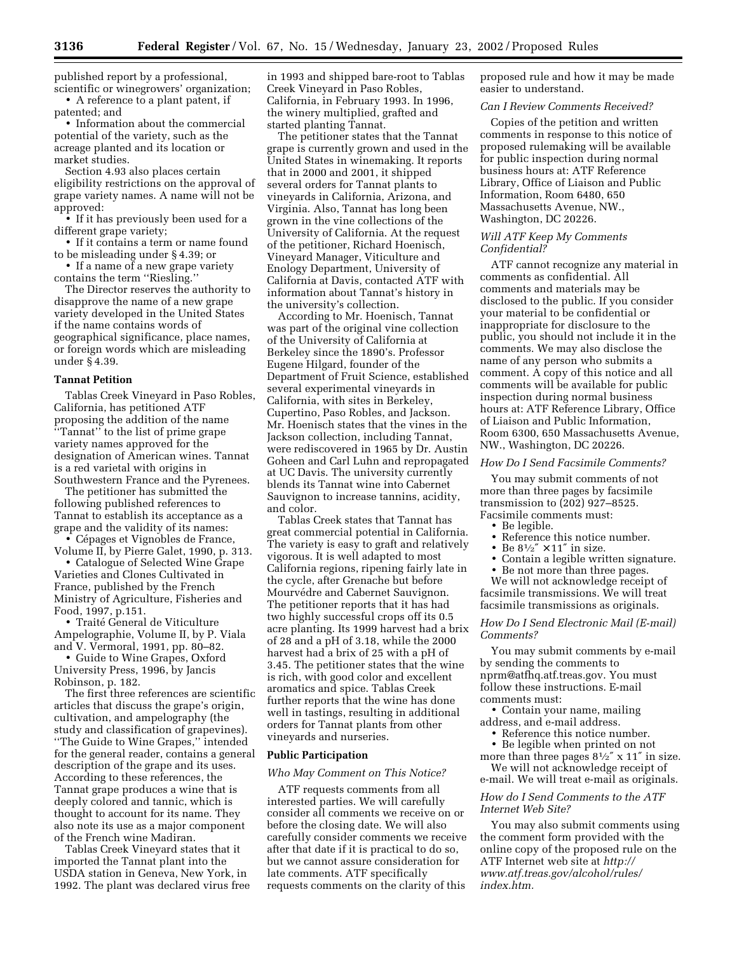published report by a professional, scientific or winegrowers' organization; • A reference to a plant patent, if

patented; and

• Information about the commercial potential of the variety, such as the acreage planted and its location or market studies.

Section 4.93 also places certain eligibility restrictions on the approval of grape variety names. A name will not be approved:

• If it has previously been used for a different grape variety;

• If it contains a term or name found to be misleading under § 4.39; or

• If a name of a new grape variety contains the term ''Riesling.''

The Director reserves the authority to disapprove the name of a new grape variety developed in the United States if the name contains words of geographical significance, place names, or foreign words which are misleading under § 4.39.

#### **Tannat Petition**

Tablas Creek Vineyard in Paso Robles, California, has petitioned ATF proposing the addition of the name ''Tannat'' to the list of prime grape variety names approved for the designation of American wines. Tannat is a red varietal with origins in Southwestern France and the Pyrenees.

The petitioner has submitted the following published references to Tannat to establish its acceptance as a grape and the validity of its names:

• Cépages et Vignobles de France, Volume II, by Pierre Galet, 1990, p. 313.

• Catalogue of Selected Wine Grape Varieties and Clones Cultivated in France, published by the French Ministry of Agriculture, Fisheries and Food, 1997, p.151.

• Traité General de Viticulture Ampelographie, Volume II, by P. Viala and V. Vermoral, 1991, pp. 80–82.

• Guide to Wine Grapes, Oxford University Press, 1996, by Jancis Robinson, p. 182.

The first three references are scientific articles that discuss the grape's origin, cultivation, and ampelography (the study and classification of grapevines). ''The Guide to Wine Grapes,'' intended for the general reader, contains a general description of the grape and its uses. According to these references, the Tannat grape produces a wine that is deeply colored and tannic, which is thought to account for its name. They also note its use as a major component of the French wine Madiran.

Tablas Creek Vineyard states that it imported the Tannat plant into the USDA station in Geneva, New York, in 1992. The plant was declared virus free in 1993 and shipped bare-root to Tablas Creek Vineyard in Paso Robles, California, in February 1993. In 1996, the winery multiplied, grafted and started planting Tannat.

The petitioner states that the Tannat grape is currently grown and used in the United States in winemaking. It reports that in 2000 and 2001, it shipped several orders for Tannat plants to vineyards in California, Arizona, and Virginia. Also, Tannat has long been grown in the vine collections of the University of California. At the request of the petitioner, Richard Hoenisch, Vineyard Manager, Viticulture and Enology Department, University of California at Davis, contacted ATF with information about Tannat's history in the university's collection.

According to Mr. Hoenisch, Tannat was part of the original vine collection of the University of California at Berkeley since the 1890's. Professor Eugene Hilgard, founder of the Department of Fruit Science, established several experimental vineyards in California, with sites in Berkeley, Cupertino, Paso Robles, and Jackson. Mr. Hoenisch states that the vines in the Jackson collection, including Tannat, were rediscovered in 1965 by Dr. Austin Goheen and Carl Luhn and repropagated at UC Davis. The university currently blends its Tannat wine into Cabernet Sauvignon to increase tannins, acidity, and color.

Tablas Creek states that Tannat has great commercial potential in California. The variety is easy to graft and relatively vigorous. It is well adapted to most California regions, ripening fairly late in the cycle, after Grenache but before Mourvédre and Cabernet Sauvignon. The petitioner reports that it has had two highly successful crops off its 0.5 acre planting. Its 1999 harvest had a brix of 28 and a pH of 3.18, while the 2000 harvest had a brix of 25 with a pH of 3.45. The petitioner states that the wine is rich, with good color and excellent aromatics and spice. Tablas Creek further reports that the wine has done well in tastings, resulting in additional orders for Tannat plants from other vineyards and nurseries.

#### **Public Participation**

#### *Who May Comment on This Notice?*

ATF requests comments from all interested parties. We will carefully consider all comments we receive on or before the closing date. We will also carefully consider comments we receive after that date if it is practical to do so, but we cannot assure consideration for late comments. ATF specifically requests comments on the clarity of this

proposed rule and how it may be made easier to understand.

## *Can I Review Comments Received?*

Copies of the petition and written comments in response to this notice of proposed rulemaking will be available for public inspection during normal business hours at: ATF Reference Library, Office of Liaison and Public Information, Room 6480, 650 Massachusetts Avenue, NW., Washington, DC 20226.

## *Will ATF Keep My Comments Confidential?*

ATF cannot recognize any material in comments as confidential. All comments and materials may be disclosed to the public. If you consider your material to be confidential or inappropriate for disclosure to the public, you should not include it in the comments. We may also disclose the name of any person who submits a comment. A copy of this notice and all comments will be available for public inspection during normal business hours at: ATF Reference Library, Office of Liaison and Public Information, Room 6300, 650 Massachusetts Avenue, NW., Washington, DC 20226.

#### *How Do I Send Facsimile Comments?*

You may submit comments of not more than three pages by facsimile transmission to (202) 927–8525. Facsimile comments must:

- Be legible.
- Reference this notice number.
- Be  $8\frac{1}{2}$ " × 11" in size.
- Contain a legible written signature.
- Be not more than three pages.

We will not acknowledge receipt of facsimile transmissions. We will treat facsimile transmissions as originals.

#### *How Do I Send Electronic Mail (E-mail) Comments?*

You may submit comments by e-mail by sending the comments to nprm@atfhq.atf.treas.gov. You must follow these instructions. E-mail comments must:

• Contain your name, mailing address, and e-mail address.

- Reference this notice number.
- Be legible when printed on not
- more than three pages  $8\frac{1}{2}$ " x 11" in size. We will not acknowledge receipt of

e-mail. We will treat e-mail as originals.

#### *How do I Send Comments to the ATF Internet Web Site?*

You may also submit comments using the comment form provided with the online copy of the proposed rule on the ATF Internet web site at *http:// www.atf.treas.gov/alcohol/rules/ index.htm.*